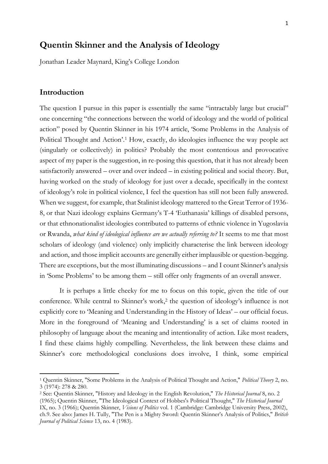# **Quentin Skinner and the Analysis of Ideology**

Jonathan Leader Maynard, King's College London

### **Introduction**

The question I pursue in this paper is essentially the same "intractably large but crucial" one concerning "the connections between the world of ideology and the world of political action" posed by Quentin Skinner in his 1974 article, 'Some Problems in the Analysis of Political Thought and Action'.<sup>1</sup> How, exactly, do ideologies influence the way people act (singularly or collectively) in politics? Probably the most contentious and provocative aspect of my paper is the suggestion, in re-posing this question, that it has not already been satisfactorily answered – over and over indeed – in existing political and social theory. But, having worked on the study of ideology for just over a decade, specifically in the context of ideology's role in political violence, I feel the question has still not been fully answered. When we suggest, for example, that Stalinist ideology mattered to the Great Terror of 1936- 8, or that Nazi ideology explains Germany's T-4 'Euthanasia' killings of disabled persons, or that ethnonationalist ideologies contributed to patterns of ethnic violence in Yugoslavia or Rwanda, *what kind of ideological influence are we actually referring to?* It seems to me that most scholars of ideology (and violence) only implicitly characterise the link between ideology and action, and those implicit accounts are generally either implausible or question-begging. There are exceptions, but the most illuminating discussions – and I count Skinner's analysis in 'Some Problems' to be among them – still offer only fragments of an overall answer.

It is perhaps a little cheeky for me to focus on this topic, given the title of our conference. While central to Skinner's work, <sup>2</sup> the question of ideology's influence is not explicitly core to 'Meaning and Understanding in the History of Ideas' – our official focus. More in the foreground of 'Meaning and Understanding' is a set of claims rooted in philosophy of language about the meaning and intentionality of action. Like most readers, I find these claims highly compelling. Nevertheless, the link between these claims and Skinner's core methodological conclusions does involve, I think, some empirical

<sup>1</sup> Quentin Skinner, "Some Problems in the Analysis of Political Thought and Action," *Political Theory* 2, no. 3 (1974): 278 & 280.

<sup>2</sup> See: Quentin Skinner, "History and Ideology in the English Revolution," *The Historical Journal* 8, no. 2 (1965); Quentin Skinner, "The Ideological Context of Hobbes's Political Thought," *The Historical Journal* IX, no. 3 (1966); Quentin Skinner, *Visions of Politics* vol. 1 (Cambridge: Cambridge University Press, 2002), ch.9. See also: James H. Tully, "The Pen is a Mighty Sword: Quentin Skinner's Analysis of Politics," *British Journal of Political Science* 13, no. 4 (1983).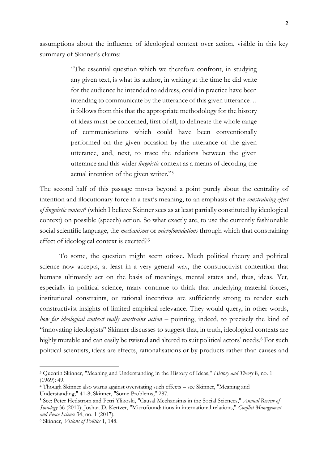assumptions about the influence of ideological context over action, visible in this key summary of Skinner's claims:

> "The essential question which we therefore confront, in studying any given text, is what its author, in writing at the time he did write for the audience he intended to address, could in practice have been intending to communicate by the utterance of this given utterance… it follows from this that the appropriate methodology for the history of ideas must be concerned, first of all, to delineate the whole range of communications which could have been conventionally performed on the given occasion by the utterance of the given utterance, and, next, to trace the relations between the given utterance and this wider *linguistic* context as a means of decoding the actual intention of the given writer." 3

The second half of this passage moves beyond a point purely about the centrality of intention and illocutionary force in a text's meaning, to an emphasis of the *constraining effect of linguistic context<sup>4</sup>* (which I believe Skinner sees as at least partially constituted by ideological context) on possible (speech) action. So what exactly are, to use the currently fashionable social scientific language, the *mechanisms* or *microfoundations* through which that constraining effect of ideological context is exerted?<sup>5</sup>

To some, the question might seem otiose. Much political theory and political science now accepts, at least in a very general way, the constructivist contention that humans ultimately act on the basis of meanings, mental states and, thus, ideas. Yet, especially in political science, many continue to think that underlying material forces, institutional constraints, or rational incentives are sufficiently strong to render such constructivist insights of limited empirical relevance. They would query, in other words, *how far ideological context really constrains action* – pointing, indeed, to precisely the kind of "innovating ideologists" Skinner discusses to suggest that, in truth, ideological contexts are highly mutable and can easily be twisted and altered to suit political actors' needs.<sup>6</sup> For such political scientists, ideas are effects, rationalisations or by-products rather than causes and

<sup>3</sup> Quentin Skinner, "Meaning and Understanding in the History of Ideas," *History and Theory* 8, no. 1 (1969): 49.

<sup>4</sup> Though Skinner also warns against overstating such effects – see Skinner, "Meaning and Understanding," 41-8; Skinner, "Some Problems," 287.

<sup>5</sup> See: Peter Hedström and Petri Ylikoski, "Causal Mechansims in the Social Sciences," *Annual Review of Sociology* 36 (2010); Joshua D. Kertzer, "Microfoundations in international relations," *Conflict Management and Peace Science* 34, no. 1 (2017).

<sup>6</sup> Skinner, *Visions of Politics* 1, 148.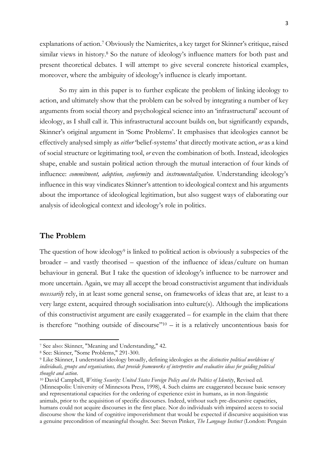explanations of action. <sup>7</sup> Obviously the Namierites, a key target for Skinner's critique, raised similar views in history. <sup>8</sup> So the nature of ideology's influence matters for both past and present theoretical debates. I will attempt to give several concrete historical examples, moreover, where the ambiguity of ideology's influence is clearly important.

So my aim in this paper is to further explicate the problem of linking ideology to action, and ultimately show that the problem can be solved by integrating a number of key arguments from social theory and psychological science into an 'infrastructural' account of ideology, as I shall call it. This infrastructural account builds on, but significantly expands, Skinner's original argument in 'Some Problems'. It emphasises that ideologies cannot be effectively analysed simply as *either* 'belief-systems' that directly motivate action, *or* as a kind of social structure or legitimating tool, *or* even the combination of both. Instead, ideologies shape, enable and sustain political action through the mutual interaction of four kinds of influence: *commitment, adoption, conformity* and *instrumentalization.* Understanding ideology's influence in this way vindicates Skinner's attention to ideological context and his arguments about the importance of ideological legitimation, but also suggest ways of elaborating our analysis of ideological context and ideology's role in politics.

## **The Problem**

The question of how ideology<sup>9</sup> is linked to political action is obviously a subspecies of the broader – and vastly theorised – question of the influence of ideas/culture on human behaviour in general. But I take the question of ideology's influence to be narrower and more uncertain. Again, we may all accept the broad constructivist argument that individuals *necessarily* rely, in at least some general sense, on frameworks of ideas that are, at least to a very large extent, acquired through socialisation into culture(s). Although the implications of this constructivist argument are easily exaggerated – for example in the claim that there is therefore "nothing outside of discourse"<sup>10</sup> – it is a relatively uncontentious basis for

<sup>7</sup> See also: Skinner, "Meaning and Understanding," 42.

<sup>8</sup> See: Skinner, "Some Problems," 291-300.

<sup>9</sup> Like Skinner, I understand ideology broadly, defining ideologies as the *distinctive political worldviews of individuals, groups and organisations, that provide frameworks of interpretive and evaluative ideas for guiding political thought and action*.

<sup>10</sup> David Campbell, *Writing Security: United States Foreign Policy and the Politics of Identity*, Revised ed. (Minneapolis: University of Minnesota Press, 1998), 4. Such claims are exaggerated because basic sensory and representational capacities for the ordering of experience exist in humans, as in non-linguistic animals, prior to the acquisition of specific discourses. Indeed, without such pre-discursive capacities, humans could not acquire discourses in the first place. Nor do individuals with impaired access to social discourse show the kind of cognitive impoverishment that would be expected if discursive acquisition was a genuine precondition of meaningful thought. See: Steven Pinker, *The Language Instinct* (London: Penguin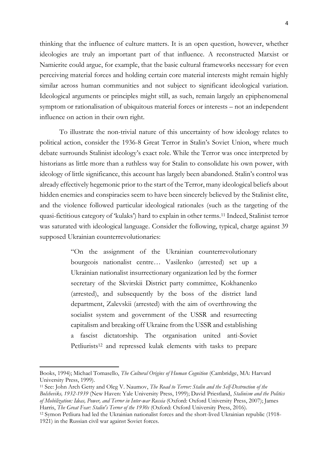thinking that the influence of culture matters. It is an open question, however, whether ideologies are truly an important part of that influence. A reconstructed Marxist or Namierite could argue, for example, that the basic cultural frameworks necessary for even perceiving material forces and holding certain core material interests might remain highly similar across human communities and not subject to significant ideological variation. Ideological arguments or principles might still, as such, remain largely an epiphenomenal symptom or rationalisation of ubiquitous material forces or interests – not an independent influence on action in their own right.

To illustrate the non-trivial nature of this uncertainty of how ideology relates to political action, consider the 1936-8 Great Terror in Stalin's Soviet Union, where much debate surrounds Stalinist ideology's exact role. While the Terror was once interpreted by historians as little more than a ruthless way for Stalin to consolidate his own power, with ideology of little significance, this account has largely been abandoned. Stalin's control was already effectively hegemonic prior to the start of the Terror, many ideological beliefs about hidden enemies and conspiracies seem to have been sincerely believed by the Stalinist elite, and the violence followed particular ideological rationales (such as the targeting of the quasi-fictitious category of 'kulaks') hard to explain in other terms.<sup>11</sup> Indeed, Stalinist terror was saturated with ideological language. Consider the following, typical, charge against 39 supposed Ukrainian counterrevolutionaries:

> "On the assignment of the Ukrainian counterrevolutionary bourgeois nationalist centre… Vasilenko (arrested) set up a Ukrainian nationalist insurrectionary organization led by the former secretary of the Skvirskii District party committee, Kokhanenko (arrested), and subsequently by the boss of the district land department, Zalevskii (arrested) with the aim of overthrowing the socialist system and government of the USSR and resurrecting capitalism and breaking off Ukraine from the USSR and establishing a fascist dictatorship. The organisation united anti-Soviet Petliurists<sup>12</sup> and repressed kulak elements with tasks to prepare

Books, 1994); Michael Tomasello, *The Cultural Origins of Human Cognition* (Cambridge, MA: Harvard University Press, 1999).

<sup>11</sup> See: John Arch Getty and Oleg V. Naumov, *The Road to Terror: Stalin and the Self-Destruction of the Bolsheviks, 1932-1939* (New Haven: Yale University Press, 1999); David Priestland, *Stalinism and the Politics of Mobilization: Ideas, Power, and Terror in Inter-war Russia* (Oxford: Oxford University Press, 2007); James Harris, *The Great Fear: Stalin's Terror of the 1930s* (Oxford: Oxford University Press, 2016).

<sup>12</sup> Symon Petliura had led the Ukrainian nationalist forces and the short-lived Ukrainian republic (1918- 1921) in the Russian civil war against Soviet forces.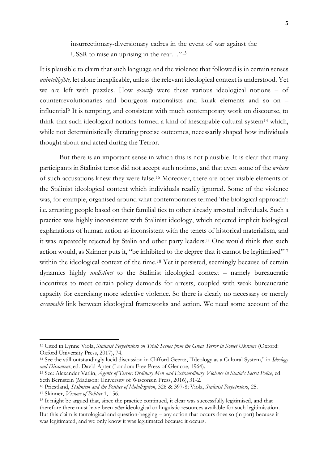insurrectionary-diversionary cadres in the event of war against the USSR to raise an uprising in the rear..."<sup>13</sup>

It is plausible to claim that such language and the violence that followed is in certain senses *unintelligible,* let alone inexplicable, unless the relevant ideological context is understood. Yet we are left with puzzles. How *exactly* were these various ideological notions *–* of counterrevolutionaries and bourgeois nationalists and kulak elements and so on – influential? It is tempting, and consistent with much contemporary work on discourse, to think that such ideological notions formed a kind of inescapable cultural system<sup>14</sup> which, while not deterministically dictating precise outcomes, necessarily shaped how individuals thought about and acted during the Terror.

But there is an important sense in which this is not plausible. It is clear that many participants in Stalinist terror did not accept such notions, and that even some of the *writers*  of such accusations knew they were false.<sup>15</sup> Moreover, there are other visible elements of the Stalinist ideological context which individuals readily ignored. Some of the violence was, for example, organised around what contemporaries termed 'the biological approach': i.e. arresting people based on their familial ties to other already arrested individuals. Such a practice was highly inconsistent with Stalinist ideology, which rejected implicit biological explanations of human action as inconsistent with the tenets of historical materialism, and it was repeatedly rejected by Stalin and other party leaders.<sup>16</sup> One would think that such action would, as Skinner puts it, "be inhibited to the degree that it cannot be legitimised"<sup>17</sup> within the ideological context of the time.<sup>18</sup> Yet it persisted, seemingly because of certain dynamics highly *undistinct* to the Stalinist ideological context – namely bureaucratic incentives to meet certain policy demands for arrests, coupled with weak bureaucratic capacity for exercising more selective violence. So there is clearly no necessary or merely *assumable* link between ideological frameworks and action. We need some account of the

<sup>13</sup> Cited in Lynne Viola, *Stalinist Perpetrators on Trial: Scenes from the Great Terror in Soviet Ukraine* (Oxford: Oxford University Press, 2017), 74.

<sup>14</sup> See the still outstandingly lucid discussion in Clifford Geertz, "Ideology as a Cultural System," in *Ideology and Discontent*, ed. David Apter (London: Free Press of Glencoe, 1964).

<sup>15</sup> See: Alexander Vatlin, *Agents of Terror: Ordinary Men and Extraordinary Violence in Stalin's Secret Police*, ed. Seth Bernstein (Madison: University of Wisconsin Press, 2016), 31-2.

<sup>16</sup> Priestland, *Stalinism and the Politics of Mobilization*, 326 & 397-8; Viola, *Stalinist Perpetrators*, 25.

<sup>17</sup> Skinner, *Visions of Politics* 1, 156.

<sup>&</sup>lt;sup>18</sup> It might be argued that, since the practice continued, it clear was successfully legitimised, and that therefore there must have been *other* ideological or linguistic resources available for such legitimisation. But this claim is tautological and question-begging – any action that occurs does so (in part) because it was legitimated, and we only know it was legitimated because it occurs.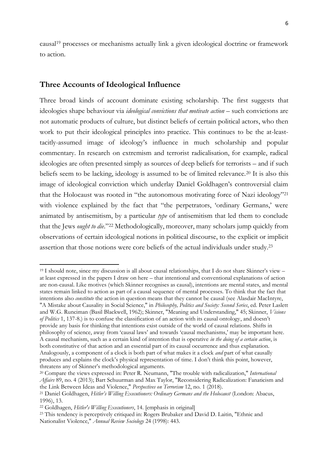causal<sup>19</sup> processes or mechanisms actually link a given ideological doctrine or framework to action.

#### **Three Accounts of Ideological Influence**

Three broad kinds of account dominate existing scholarship. The first suggests that ideologies shape behaviour via *ideological convictions that motivate action* – such convictions are not automatic products of culture, but distinct beliefs of certain political actors, who then work to put their ideological principles into practice. This continues to be the at-leasttacitly-assumed image of ideology's influence in much scholarship and popular commentary. In research on extremism and terrorist radicalisation, for example, radical ideologies are often presented simply as sources of deep beliefs for terrorists – and if such beliefs seem to be lacking, ideology is assumed to be of limited relevance.<sup>20</sup> It is also this image of ideological conviction which underlay Daniel Goldhagen's controversial claim that the Holocaust was rooted in "the autonomous motivating force of Nazi ideology"<sup>21</sup> with violence explained by the fact that "the perpetrators, 'ordinary Germans,' were animated by antisemitism, by a particular *type* of antisemitism that led them to conclude that the Jews *ought to die*."<sup>22</sup> Methodologically, moreover, many scholars jump quickly from observations of certain ideological notions in political discourse, to the explicit or implicit assertion that those notions were core beliefs of the actual individuals under study.<sup>23</sup>

<sup>19</sup> I should note, since my discussion is all about causal relationships, that I do not share Skinner's view – at least expressed in the papers I draw on here – that intentional and conventional explanations of action are non-causal. Like motives (which Skinner recognises as causal), intentions are mental states, and mental states remain linked to action as part of a causal sequence of mental processes. To think that the fact that intentions also *constitute* the action in question means that they cannot be causal (see Alasdair MacIntyre, "A Mistake about Causality in Social Science," in *Philosophy, Politics and Society: Second Series*, ed. Peter Laslett and W.G. Runciman (Basil Blackwell, 1962); Skinner, "Meaning and Understanding," 45; Skinner, *Visions of Politics* 1, 137-8.) is to confuse the classification of an action with its causal ontology, and doesn't provide any basis for thinking that intentions exist outside of the world of causal relations. Shifts in philosophy of science, away from 'causal laws' and towards 'causal mechanisms,' may be important here. A causal mechanism, such as a certain kind of intention that is operative *in the doing of a certain action*, is both constitutive of that action and an essential part of its causal occurrence and thus explanation. Analogously, a component of a clock is both part of what makes it a clock *and* part of what causally produces and explains the clock's physical representation of time. I don't think this point, however, threatens any of Skinner's methodological arguments.

<sup>20</sup> Compare the views expressed in: Peter R. Neumann, "The trouble with radicalization," *International Affairs* 89, no. 4 (2013); Bart Schuurman and Max Taylor, "Reconsidering Radicalization: Fanaticism and the Link Between Ideas and Violence," *Perspectives on Terrorism* 12, no. 1 (2018).

<sup>&</sup>lt;sup>21</sup> Daniel Goldhagen, *Hitler's Willing Executioners: Ordinary Germans and the Holocaust* (London: Abacus, 1996), 13.

<sup>22</sup> Goldhagen, *Hitler's Willing Executioners*, 14. [emphasis in original]

<sup>23</sup> This tendency is perceptively critiqued in: Rogers Brubaker and David D. Laitin, "Ethnic and Nationalist Violence," *Annual Review Sociology* 24 (1998): 443.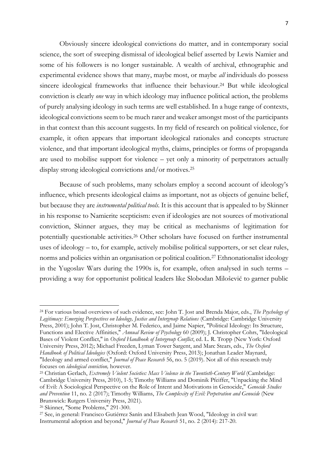Obviously sincere ideological convictions do matter, and in contemporary social science, the sort of sweeping dismissal of ideological belief asserted by Lewis Namier and some of his followers is no longer sustainable. A wealth of archival, ethnographic and experimental evidence shows that many, maybe most, or maybe *all* individuals do possess sincere ideological frameworks that influence their behaviour.<sup>24</sup> But while ideological conviction is clearly *one* way in which ideology may influence political action, the problems of purely analysing ideology in such terms are well established. In a huge range of contexts, ideological convictions seem to be much rarer and weaker amongst most of the participants in that context than this account suggests. In my field of research on political violence, for example, it often appears that important ideological rationales and concepts structure violence, and that important ideological myths, claims, principles or forms of propaganda are used to mobilise support for violence – yet only a minority of perpetrators actually display strong ideological convictions and/or motives.<sup>25</sup>

Because of such problems, many scholars employ a second account of ideology's influence, which presents ideological claims as important, not as objects of genuine belief, but because they are *instrumental political tools.* It is this account that is appealed to by Skinner in his response to Namierite scepticism: even if ideologies are not sources of motivational conviction, Skinner argues, they may be critical as mechanisms of legitimation for potentially questionable activities.<sup>26</sup> Other scholars have focused on further instrumental uses of ideology – to, for example, actively mobilise political supporters, or set clear rules, norms and policies within an organisation or political coalition.<sup>27</sup> Ethnonationalist ideology in the Yugoslav Wars during the 1990s is, for example, often analysed in such terms – providing a way for opportunist political leaders like Slobodan Milošević to garner public

<sup>24</sup> For various broad overviews of such evidence, see: John T. Jost and Brenda Major, eds., *The Psychology of Legitimacy: Emerging Perspectives on Ideology, Justice and Intergroup Relations* (Cambridge: Cambridge University Press, 2001); John T. Jost, Christopher M. Federico, and Jaime Napier, "Political Ideology: Its Structure, Functions and Elective Affinities," *Annual Review of Psychology* 60 (2009); J. Christopher Cohrs, "Ideological Bases of Violent Conflict," in *Oxford Handbook of Intergroup Conflict*, ed. L. R. Tropp (New York: Oxford University Press, 2012); Michael Freeden, Lyman Tower Sargent, and Marc Stears, eds., *The Oxford Handbook of Political Ideologies* (Oxford: Oxford University Press, 2013); Jonathan Leader Maynard, "Ideology and armed conflict," *Journal of Peace Research* 56, no. 5 (2019). Not all of this research truly focuses on *ideological conviction,* however.

<sup>25</sup> Christian Gerlach, *Extremely Violent Societies: Mass Violence in the Twentieth-Century World* (Cambridge: Cambridge University Press, 2010), 1-5; Timothy Williams and Dominik Pfeiffer, "Unpacking the Mind of Evil: A Sociological Perspective on the Role of Intent and Motivations in Genocide," *Genocide Studies and Prevention* 11, no. 2 (2017); Timothy Williams, *The Complexity of Evil: Perpetration and Genocide* (New Brunswick: Rutgers University Press, 2021).

<sup>26</sup> Skinner, "Some Problems," 291-300.

<sup>27</sup> See, in general: Francisco Gutiérrez Sanín and Elisabeth Jean Wood, "Ideology in civil war: Instrumental adoption and beyond," *Journal of Peace Research* 51, no. 2 (2014): 217-20.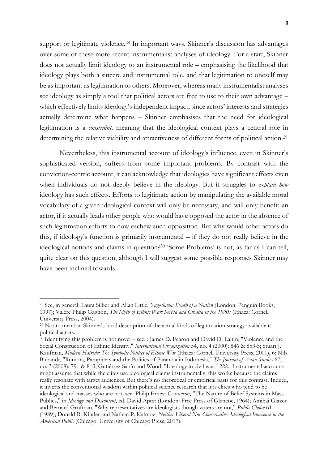support or legitimate violence. <sup>28</sup> In important ways, Skinner's discussion has advantages over some of these more recent instrumentalist analyses of ideology. For a start, Skinner does not actually limit ideology to an instrumental role – emphasising the likelihood that ideology plays both a sincere and instrumental role, and that legitimation to oneself may be as important as legitimation to others. Moreover, whereas many instrumentalist analyses see ideology as simply a tool that political actors are free to use to their own advantage – which effectively limits ideology's independent impact, since actors' interests and strategies actually determine what happens – Skinner emphasises that the need for ideological legitimation is a *constraint,* meaning that the ideological context plays a central role in determining the relative viability and attractiveness of different forms of political action.<sup>29</sup>

Nevertheless, this instrumental account of ideology's influence, even in Skinner's sophisticated version, suffers from some important problems. By contrast with the conviction-centric account, it can acknowledge that ideologies have significant effects even when individuals do not deeply believe in the ideology. But it struggles to *explain how*  ideology has such effects. Efforts to legitimate action by manipulating the available moral vocabulary of a given ideological context will only be necessary, and will only benefit an actor, if it actually leads other people who would have opposed the actor in the absence of such legitimation efforts to now eschew such opposition. But why would other actors do this, if ideology's function is primarily instrumental – if they do not really believe in the ideological notions and claims in question?<sup>30</sup> 'Some Problems' is not, as far as I can tell, quite clear on this question, although I will suggest some possible responses Skinner may have been inclined towards.

<sup>30</sup> Identifying this problem is not novel – see: : James D. Fearon and David D. Laitin, "Violence and the Social Construction of Ethnic Identity," *International Organization* 54, no. 4 (2000): 846 & 853-5; Stuart J. Kaufman, *Modern Hatreds: The Symbolic Politics of Ethnic War* (Ithaca: Cornell University Press, 2001), 6; Nils Bubandt, "Rumors, Pamphlets and the Politics of Paranoia in Indonesia," *The Journal of Asian Studies* 67, no. 3 (2008): 791 & 813; Gutiérrez Sanín and Wood, "Ideology in civil war," 222.. Instrumental accounts might assume that while the elites use ideological claims instrumentally, this works because the claims really resonate with target audiences. But there's no theoretical or empirical basis for this contrast. Indeed, it inverts the conventional wisdom within political science research that it is elites who tend to be ideological and masses who are not, see: Philip Ernest Converse, "The Nature of Belief Systems in Mass Publics," in *Ideology and Discontent*, ed. David Apter (London: Free Press of Glencoe, 1964); Amihai Glazer and Bernard Grofman, "Why representatives are ideologists though voters are not," *Public Choice* 61 (1989); Donald R. Kinder and Nathan P. Kalmoe, *Neither Liberal Nor Conservative: Ideological Innocence in the American Public* (Chicago: University of Chicago Press, 2017).

<sup>28</sup> See, in general: Laura Silber and Allan Little, *Yugoslavia: Death of a Nation* (London: Penguin Books, 1997); Valère Philip Gagnon, *The Myth of Ethnic War: Serbia and Croatia in the 1990s* (Ithaca: Cornell University Press, 2004).

<sup>29</sup> Not to mention Skinner's lucid description of the actual kinds of legitimation strategy available to political actors.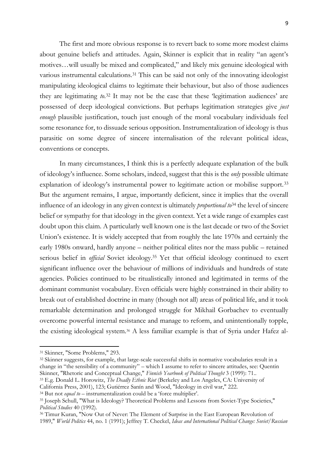The first and more obvious response is to revert back to some more modest claims about genuine beliefs and attitudes. Again, Skinner is explicit that in reality "an agent's motives…will usually be mixed and complicated," and likely mix genuine ideological with various instrumental calculations.<sup>31</sup> This can be said not only of the innovating ideologist manipulating ideological claims to legitimate their behaviour, but also of those audiences they are legitimating *to*. <sup>32</sup> It may not be the case that these 'legitimation audiences' are possessed of deep ideological convictions. But perhaps legitimation strategies give *just enough* plausible justification, touch just enough of the moral vocabulary individuals feel some resonance for, to dissuade serious opposition. Instrumentalization of ideology is thus parasitic on some degree of sincere internalisation of the relevant political ideas, conventions or concepts.

In many circumstances, I think this is a perfectly adequate explanation of the bulk of ideology's influence. Some scholars, indeed, suggest that this is the *only* possible ultimate explanation of ideology's instrumental power to legitimate action or mobilise support.<sup>33</sup> But the argument remains, I argue, importantly deficient, since it implies that the overall influence of an ideology in any given context is ultimately *proportional to*<sup>34</sup> the level of sincere belief or sympathy for that ideology in the given context. Yet a wide range of examples cast doubt upon this claim. A particularly well known one is the last decade or two of the Soviet Union's existence. It is widely accepted that from roughly the late 1970s and certainly the early 1980s onward, hardly anyone – neither political elites nor the mass public – retained serious belief in *official* Soviet ideology.<sup>35</sup> Yet that official ideology continued to exert significant influence over the behaviour of millions of individuals and hundreds of state agencies. Policies continued to be ritualistically intoned and legitimated in terms of the dominant communist vocabulary. Even officials were highly constrained in their ability to break out of established doctrine in many (though not all) areas of political life, and it took remarkable determination and prolonged struggle for Mikhail Gorbachev to eventually overcome powerful internal resistance and manage to reform, and unintentionally topple, the existing ideological system.<sup>36</sup> A less familiar example is that of Syria under Hafez al-

<sup>31</sup> Skinner, "Some Problems," 293.

<sup>&</sup>lt;sup>32</sup> Skinner suggests, for example, that large-scale successful shifts in normative vocabularies result in a change in "the sensibility of a community" – which I assume to refer to sincere attitudes, see: Quentin Skinner, "Rhetoric and Conceptual Change," *Finnish Yearbook of Political Thought* 3 (1999): 71.. <sup>33</sup> E.g. Donald L. Horowitz, *The Deadly Ethnic Riot* (Berkeley and Los Angeles, CA: University of

California Press, 2001), 123; Gutiérrez Sanín and Wood, "Ideology in civil war," 222.

<sup>34</sup> But not *equal to* – instrumentalization could be a 'force multiplier'.

<sup>35</sup> Joseph Schull, "What is Ideology? Theoretical Problems and Lessons from Soviet-Type Societies," *Political Studies* 40 (1992).

<sup>36</sup> Timur Kuran, "Now Out of Never: The Element of Surprise in the East European Revolution of 1989," *World Politics* 44, no. 1 (1991); Jeffrey T. Checkel, *Ideas and International Political Change: Soviet/Russian*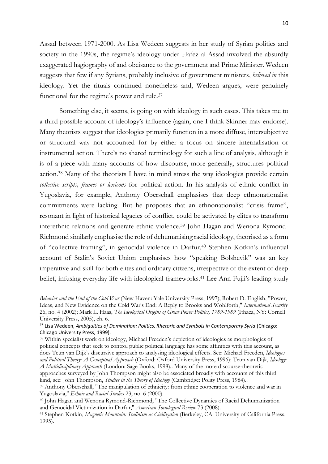Assad between 1971-2000. As Lisa Wedeen suggests in her study of Syrian politics and society in the 1990s, the regime's ideology under Hafez al-Assad involved the absurdly exaggerated hagiography of and obeisance to the government and Prime Minister. Wedeen suggests that few if any Syrians, probably inclusive of government ministers, *believed in* this ideology. Yet the rituals continued nonetheless and, Wedeen argues, were genuinely functional for the regime's power and rule.<sup>37</sup>

Something else, it seems, is going on with ideology in such cases. This takes me to a third possible account of ideology's influence (again, one I think Skinner may endorse). Many theorists suggest that ideologies primarily function in a more diffuse, intersubjective or structural way not accounted for by either a focus on sincere internalisation or instrumental action. There's no shared terminology for such a line of analysis, although it is of a piece with many accounts of how discourse, more generally, structures political action.<sup>38</sup> Many of the theorists I have in mind stress the way ideologies provide certain *collective scripts, frames or lexicons* for political action. In his analysis of ethnic conflict in Yugoslavia, for example, Anthony Oberschall emphasises that deep ethnonationalist commitments were lacking. But he proposes that an ethnonationalist "crisis frame", resonant in light of historical legacies of conflict, could be activated by elites to transform interethnic relations and generate ethnic violence.<sup>39</sup> John Hagan and Wenona Rymond-Richmond similarly emphasise the role of dehumanising racial ideology, theorised as a form of "collective framing", in genocidal violence in Darfur.<sup>40</sup> Stephen Kotkin's influential account of Stalin's Soviet Union emphasises how "speaking Bolshevik" was an key imperative and skill for both elites and ordinary citizens, irrespective of the extent of deep belief, infusing everyday life with ideological frameworks.<sup>41</sup> Lee Ann Fujii's leading study

<sup>38</sup> Within specialist work on ideology, Michael Freeden's depiction of ideologies as morphologies of political concepts that seek to control public political language has some affinities with this account, as does Teun van Dijk's discursive approach to analysing ideological effects. See: Michael Freeden, *Ideologies and Political Theory: A Conceptual Approach* (Oxford: Oxford University Press, 1996); Teun van Dijk, *Ideology: A Multidisciplinary Approach* (London: Sage Books, 1998).. Many of the more discourse-theoretic approaches surveyed by John Thompson might also be associated broadly with accounts of this third

kind, see: John Thompson, *Studies in the Theory of Ideology* (Cambridge: Polity Press, 1984)..

*Behavior and the End of the Cold War* (New Haven: Yale University Press, 1997); Robert D. English, "Power, Ideas, and New Evidence on the Cold War's End: A Reply to Brooks and Wohlforth," *International Security* 26, no. 4 (2002); Mark L. Haas, *The Ideological Origins of Great Power Politics, 1789-1989* (Ithaca, NY: Cornell University Press, 2005), ch. 6.

<sup>37</sup> Lisa Wedeen, *Ambiguities of Domination: Politics, Rhetoric and Symbols in Contemporary Syria* (Chicago: Chicago University Press, 1999).

<sup>&</sup>lt;sup>39</sup> Anthony Oberschall, "The manipulation of ethnicity: from ethnic cooperation to violence and war in Yugoslavia," *Ethnic and Racial Studies* 23, no. 6 (2000).

<sup>40</sup> John Hagan and Wenona Rymond-Richmond, "The Collective Dynamics of Racial Dehumanization and Genocidal Victimization in Darfur," *American Sociological Review* 73 (2008).

<sup>41</sup> Stephen Kotkin, *Magnetic Mountain: Stalinism as Civilization* (Berkeley, CA: University of California Press, 1995).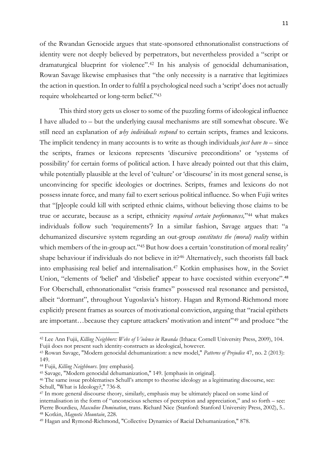11

of the Rwandan Genocide argues that state-sponsored ethnonationalist constructions of identity were not deeply believed by perpetrators, but nevertheless provided a "script or dramaturgical blueprint for violence".<sup>42</sup> In his analysis of genocidal dehumanisation, Rowan Savage likewise emphasises that "the only necessity is a narrative that legitimizes the action in question. In order to fulfil a psychological need such a 'script' does not actually require wholehearted or long-term belief."<sup>43</sup>

This third story gets us closer to some of the puzzling forms of ideological influence I have alluded to – but the underlying causal mechanisms are still somewhat obscure. We still need an explanation of *why individuals respond* to certain scripts, frames and lexicons. The implicit tendency in many accounts is to write as though individuals *just have to* – since the scripts, frames or lexicons represents 'discursive preconditions' or 'systems of possibility' for certain forms of political action. I have already pointed out that this claim, while potentially plausible at the level of 'culture' or 'discourse' in its most general sense, is unconvincing for specific ideologies or doctrines. Scripts, frames and lexicons do not possess innate force, and many fail to exert serious political influence. So when Fujii writes that "[p]eople could kill with scripted ethnic claims, without believing those claims to be true or accurate, because as a script, ethnicity *required certain performances,*" <sup>44</sup> what makes individuals follow such 'requirements'? In a similar fashion, Savage argues that: "a dehumanized discursive system regarding an out-group *constitutes the (moral) reality* within which members of the in-group act."45 But how does a certain 'constitution of moral reality' shape behaviour if individuals do not believe in it?<sup>46</sup> Alternatively, such theorists fall back into emphasising real belief and internalisation.<sup>47</sup> Kotkin emphasises how, in the Soviet Union, "elements of 'belief' and 'disbelief' appear to have coexisted within everyone".<sup>48</sup> For Oberschall, ethnonationalist "crisis frames" possessed real resonance and persisted, albeit "dormant", throughout Yugoslavia's history. Hagan and Rymond-Richmond more explicitly present frames as sources of motivational conviction, arguing that "racial epithets are important…because they capture attackers' motivation and intent"<sup>49</sup> and produce "the

<sup>42</sup> Lee Ann Fujii, *Killing Neighbors: Webs of Violence in Rwanda* (Ithaca: Cornell University Press, 2009), 104. Fujii does not present such identity-constructs as ideological, however.

<sup>43</sup> Rowan Savage, "Modern genocidal dehumanization: a new model," *Patterns of Prejudice* 47, no. 2 (2013): 149.

<sup>44</sup> Fujii, *Killing Neighbours*. [my emphasis].

<sup>45</sup> Savage, "Modern genocidal dehumanization," 149. [emphasis in original].

<sup>46</sup> The same issue problematises Schull's attempt to theorise ideology as a legitimating discourse, see: Schull, "What is Ideology?," 736-8.

<sup>47</sup> In more general discourse theory, similarly, emphasis may be ultimately placed on some kind of internalisation in the form of "unconscious schemes of perception and appreciation," and so forth – see: Pierre Bourdieu, *Masculine Domination*, trans. Richard Nice (Stanford: Stanford University Press, 2002), 5.. <sup>48</sup> Kotkin, *Magnetic Mountain*, 228.

<sup>49</sup> Hagan and Rymond-Richmond, "Collective Dynamics of Racial Dehumanization," 878.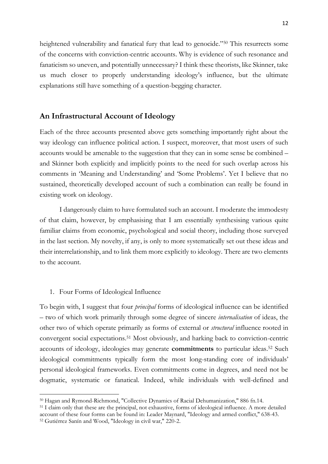heightened vulnerability and fanatical fury that lead to genocide."<sup>50</sup> This resurrects some of the concerns with conviction-centric accounts. Why is evidence of such resonance and fanaticism so uneven, and potentially unnecessary? I think these theorists, like Skinner, take us much closer to properly understanding ideology's influence, but the ultimate explanations still have something of a question-begging character.

#### **An Infrastructural Account of Ideology**

Each of the three accounts presented above gets something importantly right about the way ideology can influence political action. I suspect, moreover, that most users of such accounts would be amenable to the suggestion that they can in some sense be combined – and Skinner both explicitly and implicitly points to the need for such overlap across his comments in 'Meaning and Understanding' and 'Some Problems'. Yet I believe that no sustained, theoretically developed account of such a combination can really be found in existing work on ideology.

I dangerously claim to have formulated such an account. I moderate the immodesty of that claim, however, by emphasising that I am essentially synthesising various quite familiar claims from economic, psychological and social theory, including those surveyed in the last section. My novelty, if any, is only to more systematically set out these ideas and their interrelationship, and to link them more explicitly to ideology. There are two elements to the account.

#### 1. Four Forms of Ideological Influence

To begin with, I suggest that four *principal* forms of ideological influence can be identified – two of which work primarily through some degree of sincere *internalisation* of ideas, the other two of which operate primarily as forms of external or *structural* influence rooted in convergent social expectations.<sup>51</sup> Most obviously, and harking back to conviction-centric accounts of ideology, ideologies may generate **commitments** to particular ideas.<sup>52</sup> Such ideological commitments typically form the most long-standing core of individuals' personal ideological frameworks. Even commitments come in degrees, and need not be dogmatic, systematic or fanatical. Indeed, while individuals with well-defined and

<sup>50</sup> Hagan and Rymond-Richmond, "Collective Dynamics of Racial Dehumanization," 886 fn.14.

<sup>51</sup> I claim only that these are the principal, not exhaustive, forms of ideological influence. A more detailed account of these four forms can be found in: Leader Maynard, "Ideology and armed conflict," 638-43.

<sup>52</sup> Gutiérrez Sanín and Wood, "Ideology in civil war," 220-2.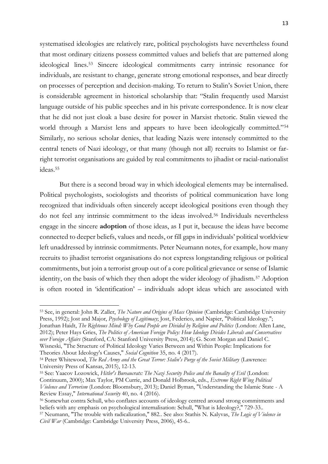systematised ideologies are relatively rare, political psychologists have nevertheless found that most ordinary citizens possess committed values and beliefs that are patterned along ideological lines.<sup>53</sup> Sincere ideological commitments carry intrinsic resonance for individuals, are resistant to change, generate strong emotional responses, and bear directly on processes of perception and decision-making. To return to Stalin's Soviet Union, there is considerable agreement in historical scholarship that: "Stalin frequently used Marxist language outside of his public speeches and in his private correspondence. It is now clear that he did not just cloak a base desire for power in Marxist rhetoric. Stalin viewed the world through a Marxist lens and appears to have been ideologically committed."<sup>54</sup> Similarly, no serious scholar denies, that leading Nazis were intensely committed to the central tenets of Nazi ideology, or that many (though not all) recruits to Islamist or farright terrorist organisations are guided by real commitments to jihadist or racial-nationalist ideas.<sup>55</sup>

But there is a second broad way in which ideological elements may be internalised. Political psychologists, sociologists and theorists of political communication have long recognized that individuals often sincerely accept ideological positions even though they do not feel any intrinsic commitment to the ideas involved.<sup>56</sup> Individuals nevertheless engage in the sincere **adoption** of those ideas, as I put it, because the ideas have become connected to deeper beliefs, values and needs, or fill gaps in individuals' political worldview left unaddressed by intrinsic commitments. Peter Neumann notes, for example, how many recruits to jihadist terrorist organisations do not express longstanding religious or political commitments, but join a terrorist group out of a core political grievance or sense of Islamic identity, on the basis of which they then adopt the wider ideology of jihadism.<sup>57</sup> Adoption is often rooted in 'identification' – individuals adopt ideas which are associated with

<sup>53</sup> See, in general: John R. Zaller, *The Nature and Origins of Mass Opinion* (Cambridge: Cambridge University Press, 1992); Jost and Major, *Psychology of Legitimacy*; Jost, Federico, and Napier, "Political Ideology."; Jonathan Haidt, *The Righteous Mind: Why Good People are Divided by Religion and Politics* (London: Allen Lane, 2012); Peter Hays Gries, *The Politics of American Foreign Policy: How Ideology Divides Liberals and Conservatives over Foreign Affairs* (Stanford, CA: Stanford University Press, 2014); G. Scott Morgan and Daniel C. Wisneski, "The Structure of Political Ideology Varies Between and Within People: Implications for Theories About Ideology's Causes," *Social Cognition* 35, no. 4 (2017).

<sup>54</sup> Peter Whitewood, *The Red Army and the Great Terror: Stalin's Purge of the Soviet Military* (Lawrence: University Press of Kansas, 2015), 12-13.

<sup>55</sup> See: Yaacov Lozowick, *Hitler's Bureaucrats: The Nazi Security Police and the Banality of Evil* (London: Continuum, 2000); Max Taylor, PM Currie, and Donald Holbrook, eds., *Extreme Right Wing Political Violence and Terrorism* (London: Bloomsbury, 2013); Daniel Byman, "Understanding the Islamic State - A Review Essay," *International Security* 40, no. 4 (2016).

<sup>56</sup> Somewhat contra Schull, who conflates accounts of ideology centred around strong commitments and beliefs with any emphasis on psychological internalisation: Schull, "What is Ideology?," 729-33..

<sup>57</sup> Neumann, "The trouble with radicalization," 882.. See also: Stathis N. Kalyvas, *The Logic of Violence in Civil War* (Cambridge: Cambridge University Press, 2006), 45-6..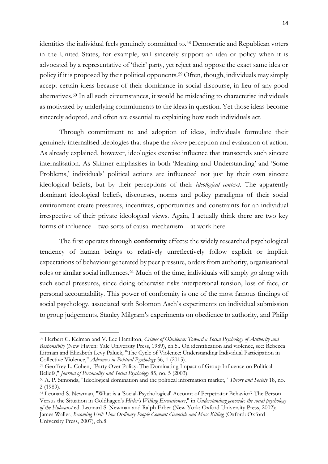identities the individual feels genuinely committed to.<sup>58</sup> Democratic and Republican voters in the United States, for example, will sincerely support an idea or policy when it is advocated by a representative of 'their' party, yet reject and oppose the exact same idea or policy if it is proposed by their political opponents.<sup>59</sup> Often, though, individuals may simply accept certain ideas because of their dominance in social discourse, in lieu of any good alternatives.<sup>60</sup> In all such circumstances, it would be misleading to characterise individuals as motivated by underlying commitments to the ideas in question. Yet those ideas become sincerely adopted, and often are essential to explaining how such individuals act.

Through commitment to and adoption of ideas, individuals formulate their genuinely internalised ideologies that shape the *sincere* perception and evaluation of action. As already explained, however, ideologies exercise influence that transcends such sincere internalisation. As Skinner emphasises in both 'Meaning and Understanding' and 'Some Problems,' individuals' political actions are influenced not just by their own sincere ideological beliefs, but by their perceptions of their *ideological context*. The apparently dominant ideological beliefs, discourses, norms and policy paradigms of their social environment create pressures, incentives, opportunities and constraints for an individual irrespective of their private ideological views*.* Again, I actually think there are two key forms of influence – two sorts of causal mechanism – at work here.

The first operates through **conformity** effects: the widely researched psychological tendency of human beings to relatively unreflectively follow explicit or implicit expectations of behaviour generated by peer pressure, orders from authority, organisational roles or similar social influences.<sup>61</sup> Much of the time, individuals will simply go along with such social pressures, since doing otherwise risks interpersonal tension, loss of face, or personal accountability. This power of conformity is one of the most famous findings of social psychology, associated with Solomon Asch's experiments on individual submission to group judgements, Stanley Milgram's experiments on obedience to authority, and Philip

<sup>58</sup> Herbert C. Kelman and V. Lee Hamilton, *Crimes of Obedience: Toward a Social Psychology of Authority and Responsibity* (New Haven: Yale University Press, 1989), ch.5.. On identification and violence, see: Rebecca Littman and Elizabeth Levy Paluck, "The Cycle of Violence: Understanding Individual Participation in Collective Violence," *Advances in Political Psychology* 36, 1 (2015)..

<sup>59</sup> Geoffrey L. Cohen, "Party Over Policy: The Dominating Impact of Group Influence on Political Beliefs," *Journal of Personality and Social Psychology* 85, no. 5 (2003).

<sup>60</sup> A. P. Simonds, "Ideological domination and the political information market," *Theory and Society* 18, no. 2 (1989).

<sup>61</sup> Leonard S. Newman, "What is a 'Social-Psychological' Account of Perpetrator Behavior? The Person Versus the Situation in Goldhagen's *Hitler's Willing Executioners*," in *Understanding genocide: the social psychology of the Holocaust* ed. Leonard S. Newman and Ralph Erber (New York: Oxford University Press, 2002); James Waller, *Becoming Evil: How Ordinary People Commit Genocide and Mass Killing* (Oxford: Oxford University Press, 2007), ch.8.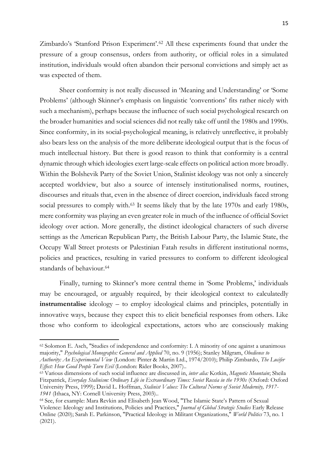Zimbardo's 'Stanford Prison Experiment'.<sup>62</sup> All these experiments found that under the pressure of a group consensus, orders from authority, or official roles in a simulated institution, individuals would often abandon their personal convictions and simply act as

was expected of them.

Sheer conformity is not really discussed in 'Meaning and Understanding' or 'Some Problems' (although Skinner's emphasis on linguistic 'conventions' fits rather nicely with such a mechanism), perhaps because the influence of such social psychological research on the broader humanities and social sciences did not really take off until the 1980s and 1990s. Since conformity, in its social-psychological meaning, is relatively unreflective, it probably also bears less on the analysis of the more deliberate ideological output that is the focus of much intellectual history. But there is good reason to think that conformity is a central dynamic through which ideologies exert large-scale effects on political action more broadly. Within the Bolshevik Party of the Soviet Union, Stalinist ideology was not only a sincerely accepted worldview, but also a source of intensely institutionalised norms, routines, discourses and rituals that, even in the absence of direct coercion, individuals faced strong social pressures to comply with.<sup>63</sup> It seems likely that by the late 1970s and early 1980s, mere conformity was playing an even greater role in much of the influence of official Soviet ideology over action. More generally, the distinct ideological characters of such diverse settings as the American Republican Party, the British Labour Party, the Islamic State, the Occupy Wall Street protests or Palestinian Fatah results in different institutional norms, policies and practices, resulting in varied pressures to conform to different ideological standards of behaviour.<sup>64</sup>

Finally, turning to Skinner's more central theme in 'Some Problems,' individuals may be encouraged, or arguably required, by their ideological context to calculatedly **instrumentalise** ideology – to employ ideological claims and principles, potentially in innovative ways, because they expect this to elicit beneficial responses from others. Like those who conform to ideological expectations, actors who are consciously making

<sup>62</sup> Solomon E. Asch, "Studies of independence and conformity: I. A minority of one against a unanimous majority," *Psychological Monographs: General and Applied* 70, no. 9 (1956); Stanley Milgram, *Obedience to Authority: An Experimental View* (London: Pinter & Martin Ltd., 1974/2010); Philip Zimbardo, *The Lucifer Effect: How Good People Turn Evil* (London: Rider Books, 2007)..

<sup>63</sup> Various dimensions of such social influence are discussed in, *inter alia:* Kotkin, *Magnetic Mountain*; Sheila Fitzpatrick, *Everyday Stalinism: Ordinary Life in Extraordinary Times: Soviet Russia in the 1930s* (Oxford: Oxford University Press, 1999); David L. Hoffman, *Stalinist Values: The Cultural Norms of Soviet Modernity, 1917- 1941* (Ithaca, NY: Cornell University Press, 2003)..

<sup>64</sup> See, for example: Mara Revkin and Elisabeth Jean Wood, "The Islamic State's Pattern of Sexual Violence: Ideology and Institutions, Policies and Practices," *Journal of Global Strategic Studies* Early Release Online (2020); Sarah E. Parkinson, "Practical Ideology in Militant Organizations," *World Politics* 73, no. 1 (2021).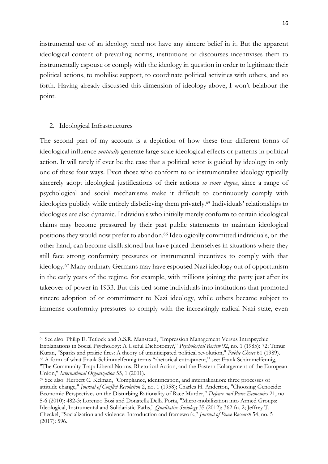instrumental use of an ideology need not have any sincere belief in it. But the apparent ideological content of prevailing norms, institutions or discourses incentivises them to instrumentally espouse or comply with the ideology in question in order to legitimate their political actions, to mobilise support, to coordinate political activities with others, and so forth. Having already discussed this dimension of ideology above, I won't belabour the point.

#### 2. Ideological Infrastructures

The second part of my account is a depiction of how these four different forms of ideological influence *mutually* generate large scale ideological effects or patterns in political action. It will rarely if ever be the case that a political actor is guided by ideology in only one of these four ways. Even those who conform to or instrumentalise ideology typically sincerely adopt ideological justifications of their actions *to some degree*, since a range of psychological and social mechanisms make it difficult to continuously comply with ideologies publicly while entirely disbelieving them privately.<sup>65</sup> Individuals' relationships to ideologies are also dynamic. Individuals who initially merely conform to certain ideological claims may become pressured by their past public statements to maintain ideological positions they would now prefer to abandon.<sup>66</sup> Ideologically committed individuals, on the other hand, can become disillusioned but have placed themselves in situations where they still face strong conformity pressures or instrumental incentives to comply with that ideology.<sup>67</sup> Many ordinary Germans may have espoused Nazi ideology out of opportunism in the early years of the regime, for example, with millions joining the party just after its takeover of power in 1933. But this tied some individuals into institutions that promoted sincere adoption of or commitment to Nazi ideology, while others became subject to immense conformity pressures to comply with the increasingly radical Nazi state, even

<sup>65</sup> See also: Philip E. Tetlock and A.S.R. Manstead, "Impression Management Versus Intrapsychic Explanations in Social Psychology: A Useful Dichotomy?," *Psychological Review* 92, no. 1 (1985): 72; Timur Kuran, "Sparks and prairie fires: A theory of unanticipated political revolution," *Public Choice* 61 (1989). <sup>66</sup> A form of what Frank Schimmelfennig terms "rhetorical entrapment," see: Frank Schimmelfennig, "The Community Trap: Liberal Norms, Rhetorical Action, and the Eastern Enlargement of the European Union," *International Organization* 55, 1 (2001).

<sup>67</sup> See also: Herbert C. Kelman, "Compliance, identification, and internalization: three processes of attitude change," *Journal of Conflict Resolution* 2, no. 1 (1958); Charles H. Anderton, "Choosing Genocide: Economic Perspectives on the Disturbing Rationality of Race Murder," *Defence and Peace Economics* 21, no. 5-6 (2010): 482-3; Lorenzo Bosi and Donatella Della Porta, "Micro-mobilization into Armed Groups: Ideological, Instrumental and Solidaristic Paths," *Qualitative Sociology* 35 (2012): 362 fn. 2; Jeffrey T. Checkel, "Socialization and violence: Introduction and framework," *Journal of Peace Research* 54, no. 5 (2017): 596..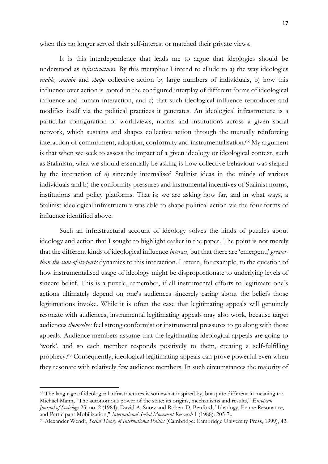when this no longer served their self-interest or matched their private views.

It is this interdependence that leads me to argue that ideologies should be understood as *infrastructures.* By this metaphor I intend to allude to a) the way ideologies *enable, sustain* and *shape* collective action by large numbers of individuals, b) how this influence over action is rooted in the configured interplay of different forms of ideological influence and human interaction, and c) that such ideological influence reproduces and modifies itself via the political practices it generates. An ideological infrastructure is a particular configuration of worldviews, norms and institutions across a given social network, which sustains and shapes collective action through the mutually reinforcing interaction of commitment, adoption, conformity and instrumentalisation. <sup>68</sup> My argument is that when we seek to assess the impact of a given ideology or ideological context, such as Stalinism, what we should essentially be asking is how collective behaviour was shaped by the interaction of a) sincerely internalised Stalinist ideas in the minds of various individuals and b) the conformity pressures and instrumental incentives of Stalinist norms, institutions and policy platforms. That is: we are asking how far, and in what ways, a Stalinist ideological infrastructure was able to shape political action via the four forms of influence identified above.

Such an infrastructural account of ideology solves the kinds of puzzles about ideology and action that I sought to highlight earlier in the paper. The point is not merely that the different kinds of ideological influence *interact,* but that there are 'emergent,' *greaterthan-the-sum-of-its-parts* dynamics to this interaction. I return, for example, to the question of how instrumentalised usage of ideology might be disproportionate to underlying levels of sincere belief. This is a puzzle, remember, if all instrumental efforts to legitimate one's actions ultimately depend on one's audiences sincerely caring about the beliefs those legitimations invoke. While it is often the case that legitimating appeals will genuinely resonate with audiences, instrumental legitimating appeals may also work, because target audiences *themselves* feel strong conformist or instrumental pressures to go along with those appeals. Audience members assume that the legitimating ideological appeals are going to 'work', and so each member responds positively to them, creating a self-fulfilling prophecy.<sup>69</sup> Consequently, ideological legitimating appeals can prove powerful even when they resonate with relatively few audience members. In such circumstances the majority of

<sup>68</sup> The language of ideological infrastructures is somewhat inspired by, but quite different in meaning to: Michael Mann, "The autonomous power of the state: its origins, mechanisms and results," *European Journal of Sociology* 25, no. 2 (1984); David A. Snow and Robert D. Benford, "Ideology, Frame Resonance, and Participant Mobilization," *International Social Movement Research* 1 (1988): 205-7..

<sup>69</sup> Alexander Wendt, *Social Theory of International Politics* (Cambridge: Cambridge University Press, 1999), 42.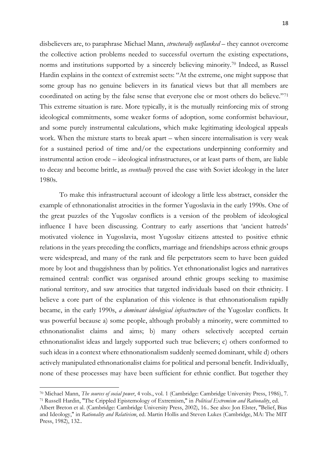disbelievers are, to paraphrase Michael Mann, *structurally outflanked* – they cannot overcome the collective action problems needed to successful overturn the existing expectations, norms and institutions supported by a sincerely believing minority.<sup>70</sup> Indeed, as Russel Hardin explains in the context of extremist sects: "At the extreme, one might suppose that some group has no genuine believers in its fanatical views but that all members are coordinated on acting by the false sense that everyone else or most others do believe."<sup>71</sup> This extreme situation is rare. More typically, it is the mutually reinforcing mix of strong ideological commitments, some weaker forms of adoption, some conformist behaviour, and some purely instrumental calculations, which make legitimating ideological appeals work. When the mixture starts to break apart – when sincere internalisation is very weak for a sustained period of time and/or the expectations underpinning conformity and instrumental action erode – ideological infrastructures, or at least parts of them, are liable to decay and become brittle, as *eventually* proved the case with Soviet ideology in the later 1980s.

To make this infrastructural account of ideology a little less abstract, consider the example of ethnonationalist atrocities in the former Yugoslavia in the early 1990s. One of the great puzzles of the Yugoslav conflicts is a version of the problem of ideological influence I have been discussing. Contrary to early assertions that 'ancient hatreds' motivated violence in Yugoslavia, most Yugoslav citizens attested to positive ethnic relations in the years preceding the conflicts, marriage and friendships across ethnic groups were widespread, and many of the rank and file perpetrators seem to have been guided more by loot and thuggishness than by politics. Yet ethnonationalist logics and narratives remained central: conflict was organised around ethnic groups seeking to maximise national territory, and saw atrocities that targeted individuals based on their ethnicity. I believe a core part of the explanation of this violence is that ethnonationalism rapidly became, in the early 1990s, *a dominant ideological infrastructure* of the Yugoslav conflicts. It was powerful because a) some people, although probably a minority, were committed to ethnonationalist claims and aims; b) many others selectively accepted certain ethnonationalist ideas and largely supported such true believers; c) others conformed to such ideas in a context where ethnonationalism suddenly seemed dominant, while d) others actively manipulated ethnonationalist claims for political and personal benefit. Individually, none of these processes may have been sufficient for ethnic conflict. But together they

<sup>70</sup> Michael Mann, *The sources of social power*, 4 vols., vol. 1 (Cambridge: Cambridge University Press, 1986), 7. <sup>71</sup> Russell Hardin, "The Crippled Epistemology of Extremism," in *Political Extremism and Rationality*, ed.

Albert Breton et al. (Cambridge: Cambridge University Press, 2002), 16.. See also: Jon Elster, "Belief, Bias and Ideology," in *Rationality and Relativism*, ed. Martin Hollis and Steven Lukes (Cambridge, MA: The MIT Press, 1982), 132..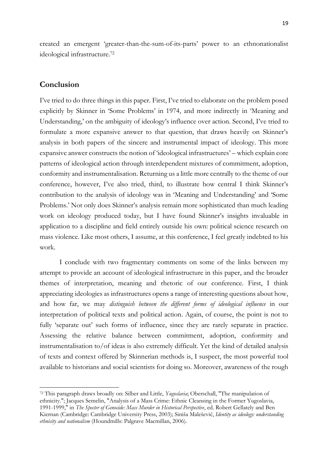created an emergent 'greater-than-the-sum-of-its-parts' power to an ethnonationalist ideological infrastructure. 72

### **Conclusion**

I've tried to do three things in this paper. First, I've tried to elaborate on the problem posed explicitly by Skinner in 'Some Problems' in 1974, and more indirectly in 'Meaning and Understanding,' on the ambiguity of ideology's influence over action. Second, I've tried to formulate a more expansive answer to that question, that draws heavily on Skinner's analysis in both papers of the sincere and instrumental impact of ideology. This more expansive answer constructs the notion of 'ideological infrastructures' – which explain core patterns of ideological action through interdependent mixtures of commitment, adoption, conformity and instrumentalisation. Returning us a little more centrally to the theme of our conference, however, I've also tried, third, to illustrate how central I think Skinner's contribution to the analysis of ideology was in 'Meaning and Understanding' and 'Some Problems.' Not only does Skinner's analysis remain more sophisticated than much leading work on ideology produced today, but I have found Skinner's insights invaluable in application to a discipline and field entirely outside his own: political science research on mass violence. Like most others, I assume, at this conference, I feel greatly indebted to his work.

I conclude with two fragmentary comments on some of the links between my attempt to provide an account of ideological infrastructure in this paper, and the broader themes of interpretation, meaning and rhetoric of our conference. First, I think appreciating ideologies as infrastructures opens a range of interesting questions about how, and how far, we may *distinguish between the different forms of ideological influence* in our interpretation of political texts and political action. Again, of course, the point is not to fully 'separate out' such forms of influence, since they are rarely separate in practice. Assessing the relative balance between commitment, adoption, conformity and instrumentalisation to/of ideas is also extremely difficult. Yet the kind of detailed analysis of texts and context offered by Skinnerian methods is, I suspect, the most powerful tool available to historians and social scientists for doing so. Moreover, awareness of the rough

<sup>72</sup> This paragraph draws broadly on: Silber and Little, *Yugoslavia*; Oberschall, "The manipulation of ethnicity."; Jacques Semelin, "Analysis of a Mass Crime: Ethnic Cleansing in the Former Yugoslavia, 1991-1999," in *The Specter of Genocide: Mass Murder in Historical Perspective*, ed. Robert Gellately and Ben Kiernan (Cambridge: Cambridge University Press, 2003); Siniša Malešević, *Identity as ideology: understanding ethnicity and nationalism* (Houndmills: Palgrave Macmillan, 2006).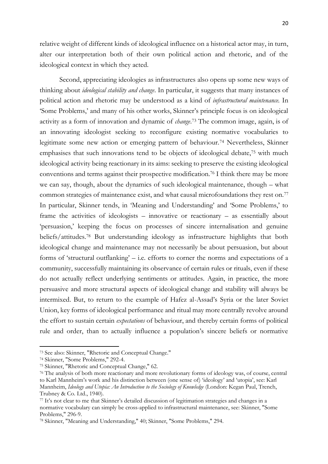relative weight of different kinds of ideological influence on a historical actor may, in turn, alter our interpretation both of their own political action and rhetoric, and of the ideological context in which they acted.

Second, appreciating ideologies as infrastructures also opens up some new ways of thinking about *ideological stability and change*. In particular, it suggests that many instances of political action and rhetoric may be understood as a kind of *infrastructural maintenance.* In 'Some Problems,' and many of his other works, Skinner's principle focus is on ideological activity as a form of innovation and dynamic of *change*. <sup>73</sup> The common image, again, is of an innovating ideologist seeking to reconfigure existing normative vocabularies to legitimate some new action or emerging pattern of behaviour.<sup>74</sup> Nevertheless, Skinner emphasises that such innovations tend to be objects of ideological debate,<sup>75</sup> with much ideological activity being reactionary in its aims: seeking to preserve the existing ideological conventions and terms against their prospective modification.<sup>76</sup> I think there may be more we can say, though, about the dynamics of such ideological maintenance, though – what common strategies of maintenance exist, and what causal microfoundations they rest on.<sup>77</sup> In particular, Skinner tends, in 'Meaning and Understanding' and 'Some Problems,' to frame the activities of ideologists – innovative or reactionary – as essentially about 'persuasion,' keeping the focus on processes of sincere internalisation and genuine beliefs/attitudes.<sup>78</sup> But understanding ideology as infrastructure highlights that both ideological change and maintenance may not necessarily be about persuasion, but about forms of 'structural outflanking' – i.e. efforts to corner the norms and expectations of a community, successfully maintaining its observance of certain rules or rituals, even if these do not actually reflect underlying sentiments or attitudes. Again, in practice, the more persuasive and more structural aspects of ideological change and stability will always be intermixed. But, to return to the example of Hafez al-Assad's Syria or the later Soviet Union, key forms of ideological performance and ritual may more centrally revolve around the effort to sustain certain *expectations* of behaviour, and thereby certain forms of political rule and order, than to actually influence a population's sincere beliefs or normative

<sup>73</sup> See also: Skinner, "Rhetoric and Conceptual Change."

<sup>74</sup> Skinner, "Some Problems," 292-4.

<sup>75</sup> Skinner, "Rhetoric and Conceptual Change," 62.

<sup>&</sup>lt;sup>76</sup> The analysis of both more reactionary and more revolutionary forms of ideology was, of course, central to Karl Mannheim's work and his distinction between (one sense of) 'ideology' and 'utopia', see: Karl Mannheim, *Ideology and Utopia: An Introduction to the Sociology of Knowledge* (London: Kegan Paul, Trench, Trubney & Co. Ltd., 1940).

<sup>77</sup> It's not clear to me that Skinner's detailed discussion of legitimation strategies and changes in a normative vocabulary can simply be cross-applied to infrastructural maintenance, see: Skinner, "Some Problems," 296-9.

<sup>78</sup> Skinner, "Meaning and Understanding," 40; Skinner, "Some Problems," 294.